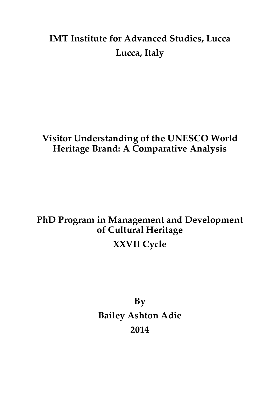## **IMT Institute for Advanced Studies, Lucca Lucca, Italy**

#### **Visitor Understanding of the UNESCO World Heritage Brand: A Comparative Analysis**

## **PhD Program in Management and Development of Cultural Heritage XXVII Cycle**

**By Bailey Ashton Adie 2014**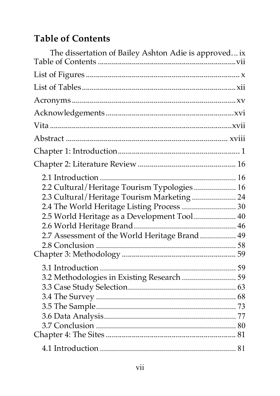# **Table of Contents**

| The dissertation of Bailey Ashton Adie is approved ix |  |
|-------------------------------------------------------|--|
|                                                       |  |
|                                                       |  |
|                                                       |  |
|                                                       |  |
|                                                       |  |
|                                                       |  |
|                                                       |  |
|                                                       |  |
|                                                       |  |
| 2.2 Cultural/Heritage Tourism Typologies  16          |  |
| 2.3 Cultural/Heritage Tourism Marketing  24           |  |
| 2.4 The World Heritage Listing Process  30            |  |
| 2.5 World Heritage as a Development Tool 40           |  |
|                                                       |  |
| 2.7 Assessment of the World Heritage Brand 49         |  |
|                                                       |  |
|                                                       |  |
|                                                       |  |
| 3.2 Methodologies in Existing Research  59            |  |
|                                                       |  |
|                                                       |  |
|                                                       |  |
|                                                       |  |
|                                                       |  |
|                                                       |  |
|                                                       |  |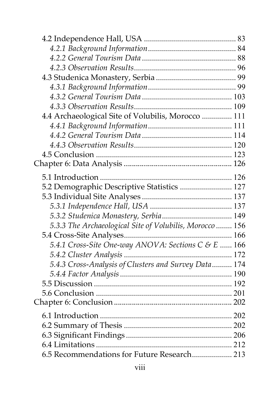| 4.4 Archaeological Site of Volubilis, Morocco  111       |  |
|----------------------------------------------------------|--|
|                                                          |  |
|                                                          |  |
|                                                          |  |
|                                                          |  |
|                                                          |  |
|                                                          |  |
| 5.2 Demographic Descriptive Statistics  127              |  |
|                                                          |  |
|                                                          |  |
|                                                          |  |
| 5.3.3 The Archaeological Site of Volubilis, Morocco  156 |  |
|                                                          |  |
| 5.4.1 Cross-Site One-way ANOVA: Sections C & E  166      |  |
| 172                                                      |  |
| 5.4.3 Cross-Analysis of Clusters and Survey Data 174     |  |
|                                                          |  |
|                                                          |  |
|                                                          |  |
|                                                          |  |
|                                                          |  |
|                                                          |  |
|                                                          |  |
|                                                          |  |
| 6.5 Recommendations for Future Research 213              |  |
|                                                          |  |